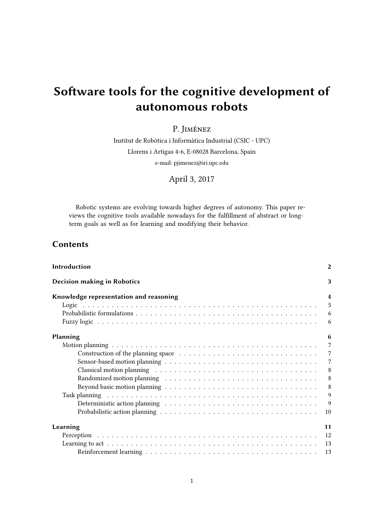# Software tools for the cognitive development of autonomous robots

P. Jiménez

Institut de Robòtica i Informàtica Industrial (CSIC - UPC) Llorens i Artigas 4-6, E-08028 Barcelona, Spain e-mail: pjimenez@iri.upc.edu

April 3, 2017

Robotic systems are evolving towards higher degrees of autonomy. This paper reviews the cognitive tools available nowadays for the fulllment of abstract or longterm goals as well as for learning and modifying their behavior.

## Contents

| Introduction                                                                                                                                                                                                                   | $\overline{2}$ |
|--------------------------------------------------------------------------------------------------------------------------------------------------------------------------------------------------------------------------------|----------------|
| <b>Decision making in Robotics</b>                                                                                                                                                                                             | 3              |
| Knowledge representation and reasoning                                                                                                                                                                                         | $\overline{4}$ |
|                                                                                                                                                                                                                                | 5              |
|                                                                                                                                                                                                                                | -6             |
|                                                                                                                                                                                                                                | 6              |
| Planning                                                                                                                                                                                                                       | 6              |
|                                                                                                                                                                                                                                | $\overline{7}$ |
|                                                                                                                                                                                                                                | $\overline{7}$ |
|                                                                                                                                                                                                                                | $\overline{7}$ |
| Classical motion planning resources in the control of the control of the control of the control of the control of the control of the control of the control of the control of the control of the control of the control of the | 8              |
| Randomized motion planning resources in the set of the set of the set of the set of the set of the set of the set of the set of the set of the set of the set of the set of the set of the set of the set of the set of the se | 8              |
|                                                                                                                                                                                                                                | 8              |
|                                                                                                                                                                                                                                | 9              |
|                                                                                                                                                                                                                                | 9              |
|                                                                                                                                                                                                                                | 10             |
| Learning                                                                                                                                                                                                                       | 11             |
|                                                                                                                                                                                                                                |                |
|                                                                                                                                                                                                                                | 13             |
|                                                                                                                                                                                                                                | 13             |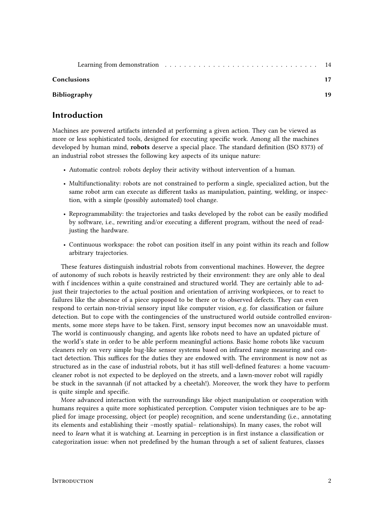#### Conclusions 17

#### Bibliography 19

# Introduction

Machines are powered artifacts intended at performing a given action. They can be viewed as more or less sophisticated tools, designed for executing specific work. Among all the machines developed by human mind, robots deserve a special place. The standard definition (ISO 8373) of an industrial robot stresses the following key aspects of its unique nature:

- Automatic control: robots deploy their activity without intervention of a human.
- Multifunctionality: robots are not constrained to perform a single, specialized action, but the same robot arm can execute as different tasks as manipulation, painting, welding, or inspection, with a simple (possibly automated) tool change.
- Reprogrammability: the trajectories and tasks developed by the robot can be easily modified by software, i.e., rewriting and/or executing a different program, without the need of readjusting the hardware.
- Continuous workspace: the robot can position itself in any point within its reach and follow arbitrary trajectories.

These features distinguish industrial robots from conventional machines. However, the degree of autonomy of such robots is heavily restricted by their environment: they are only able to deal with f incidences within a quite constrained and structured world. They are certainly able to adjust their trajectories to the actual position and orientation of arriving workpieces, or to react to failures like the absence of a piece supposed to be there or to observed defects. They can even respond to certain non-trivial sensory input like computer vision, e.g. for classification or failure detection. But to cope with the contingencies of the unstructured world outside controlled environments, some more steps have to be taken. First, sensory input becomes now an unavoidable must. The world is continuously changing, and agents like robots need to have an updated picture of the world's state in order to be able perform meaningful actions. Basic home robots like vacuum cleaners rely on very simple bug-like sensor systems based on infrared range measuring and contact detection. This suffices for the duties they are endowed with. The environment is now not as structured as in the case of industrial robots, but it has still well-defined features: a home vacuumcleaner robot is not expected to be deployed on the streets, and a lawn-mover robot will rapidly be stuck in the savannah (if not attacked by a cheetah!). Moreover, the work they have to perform is quite simple and specific.

More advanced interaction with the surroundings like object manipulation or cooperation with humans requires a quite more sophisticated perception. Computer vision techniques are to be applied for image processing, object (or people) recognition, and scene understanding (i.e., annotating its elements and establishing their –mostly spatial– relationships). In many cases, the robot will need to *learn* what it is watching at. Learning in perception is in first instance a classification or categorization issue: when not predefined by the human through a set of salient features, classes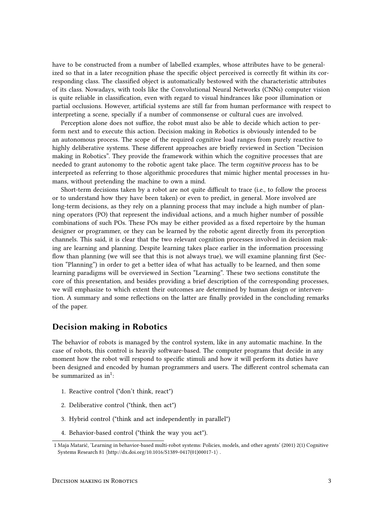have to be constructed from a number of labelled examples, whose attributes have to be generalized so that in a later recognition phase the specific object perceived is correctly fit within its corresponding class. The classified object is automatically bestowed with the characteristic attributes of its class. Nowadays, with tools like the Convolutional Neural Networks (CNNs) computer vision is quite reliable in classification, even with regard to visual hindrances like poor illumination or partial occlusions. However, artificial systems are still far from human performance with respect to interpreting a scene, specially if a number of commonsense or cultural cues are involved.

Perception alone does not suffice, the robot must also be able to decide which action to perform next and to execute this action. Decision making in Robotics is obviously intended to be an autonomous process. The scope of the required cognitive load ranges from purely reactive to highly deliberative systems. These different approaches are briefly reviewed in Section "Decision" making in Robotics". They provide the framework within which the cognitive processes that are needed to grant autonomy to the robotic agent take place. The term cognitive process has to be interpreted as referring to those algorithmic procedures that mimic higher mental processes in humans, without pretending the machine to own a mind.

Short-term decisions taken by a robot are not quite difficult to trace (i.e., to follow the process or to understand how they have been taken) or even to predict, in general. More involved are long-term decisions, as they rely on a planning process that may include a high number of planning operators (PO) that represent the individual actions, and a much higher number of possible combinations of such POs. These POs may be either provided as a fixed repertoire by the human designer or programmer, or they can be learned by the robotic agent directly from its perception channels. This said, it is clear that the two relevant cognition processes involved in decision making are learning and planning. Despite learning takes place earlier in the information processing flow than planning (we will see that this is not always true), we will examine planning first (Section "Planning") in order to get a better idea of what has actually to be learned, and then some learning paradigms will be overviewed in Section "Learning". These two sections constitute the core of this presentation, and besides providing a brief description of the corresponding processes, we will emphasize to which extent their outcomes are determined by human design or intervention. A summary and some reflections on the latter are finally provided in the concluding remarks of the paper.

## Decision making in Robotics

The behavior of robots is managed by the control system, like in any automatic machine. In the case of robots, this control is heavily software-based. The computer programs that decide in any moment how the robot will respond to specific stimuli and how it will perform its duties have been designed and encoded by human programmers and users. The different control schemata can be summarized as  $in<sup>1</sup>$ :

- 1. Reactive control ("don't think, react")
- 2. Deliberative control ("think, then act")
- 3. Hybrid control ("think and act independently in parallel")
- 4. Behavior-based control ("think the way you act").

<sup>1</sup> Maja Matarić, 'Learning in behavior-based multi-robot systems: Policies, models, and other agents' (2001) 2(1) Cognitive Systems Research 81  $\langle$ http://dx.doi.org/10.1016/S1389-0417(01)00017-1 $\rangle$ .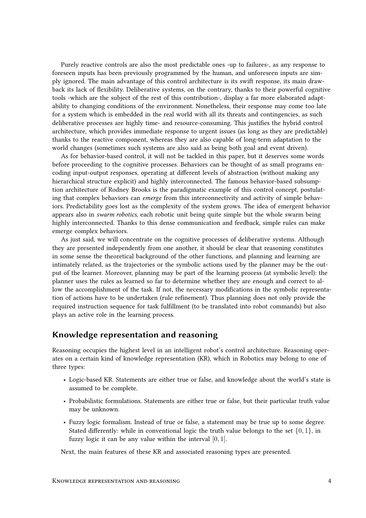Purely reactive controls are also the most predictable ones -up to failures-, as any response to foreseen inputs has been previously programmed by the human, and unforeseen inputs are simply ignored. The main advantage of this control architecture is its swift response, its main drawback its lack of flexibility. Deliberative systems, on the contrary, thanks to their powerful cognitive tools -which are the subject of the rest of this contribution-, display a far more elaborated adaptability to changing conditions of the environment. Nonetheless, their response may come too late for a system which is embedded in the real world with all its threats and contingencies, as such deliberative processes are highly time- and resource-consuming. This justifies the hybrid control architecture, which provides immediate response to urgent issues (as long as they are predictable) thanks to the reactive component, whereas they are also capable of long-term adaptation to the world changes (sometimes such systems are also said as being both goal and event driven).

As for behavior-based control, it will not be tackled in this paper, but it deserves some words before proceeding to the cognitive processes. Behaviors can be thought of as small programs encoding input-output responses, operating at different levels of abstraction (without making any hierarchical structure explicit) and highly interconnected. The famous behavior-based subsumption architecture of Rodney Brooks is the paradigmatic example of this control concept, postulating that complex behaviors can emerge from this interconnectivity and activity of simple behaviors. Predictability goes lost as the complexity of the system grows. The idea of emergent behavior appears also in *swarm robotics*, each robotic unit being quite simple but the whole swarm being highly interconnected. Thanks to this dense communication and feedback, simple rules can make emerge complex behaviors.

As just said, we will concentrate on the cognitive processes of deliberative systems. Although they are presented independently from one another, it should be clear that reasoning constitutes in some sense the theoretical background of the other functions, and planning and learning are intimately related, as the trajectories or the symbolic actions used by the planner may be the output of the learner. Moreover, planning may be part of the learning process (at symbolic level): the planner uses the rules as learned so far to determine whether they are enough and correct to allow the accomplishment of the task. If not, the necessary modifications in the symbolic representation of actions have to be undertaken (rule refinement). Thus planning does not only provide the required instruction sequence for task fulllment (to be translated into robot commands) but also plays an active role in the learning process.

## Knowledge representation and reasoning

Reasoning occupies the highest level in an intelligent robot's control architecture. Reasoning operates on a certain kind of knowledge representation (KR), which in Robotics may belong to one of three types:

- Logic-based KR. Statements are either true or false, and knowledge about the world's state is assumed to be complete.
- Probabilistic formulations. Statements are either true or false, but their particular truth value may be unknown.
- Fuzzy logic formalism. Instead of true or false, a statement may be true up to some degree. Stated differently: while in conventional logic the truth value belongs to the set  $\{0, 1\}$ , in fuzzy logic it can be any value within the interval  $[0, 1]$ .

Next, the main features of these KR and associated reasoning types are presented.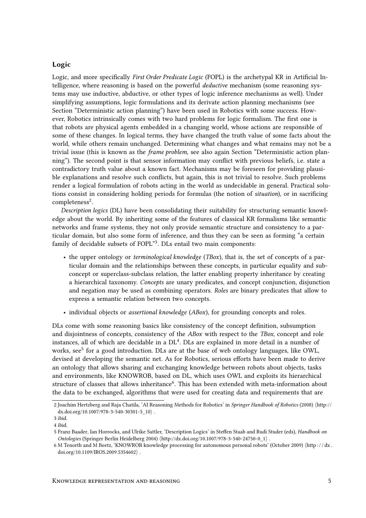#### Logic

Logic, and more specifically First Order Predicate Logic (FOPL) is the archetypal KR in Artificial Intelligence, where reasoning is based on the powerful *deductive* mechanism (some reasoning systems may use inductive, abductive, or other types of logic inference mechanisms as well). Under simplifying assumptions, logic formulations and its derivate action planning mechanisms (see Section "Deterministic action planning") have been used in Robotics with some success. However, Robotics intrinsically comes with two hard problems for logic formalism. The first one is that robots are physical agents embedded in a changing world, whose actions are responsible of some of these changes. In logical terms, they have changed the truth value of some facts about the world, while others remain unchanged. Determining what changes and what remains may not be a trivial issue (this is known as the frame problem, see also again Section "Deterministic action planning"). The second point is that sensor information may conflict with previous beliefs, i.e. state a contradictory truth value about a known fact. Mechanisms may be foreseen for providing plausible explanations and resolve such conflicts, but again, this is not trivial to resolve. Such problems render a logical formulation of robots acting in the world as undecidable in general. Practical solutions consist in considering holding periods for formulas (the notion of *situation*), or in sacrificing completeness<sup>2</sup>.

Description logics (DL) have been consolidating their suitability for structuring semantic knowledge about the world. By inheriting some of the features of classical KR formalisms like semantic networks and frame systems, they not only provide semantic structure and consistency to a particular domain, but also some form of inference, and thus they can be seen as forming "a certain family of decidable subsets of FOPL"3. DLs entail two main components:

- the upper ontology or *terminological knowledge* (*TBox*), that is, the set of concepts of a particular domain and the relationships between these concepts, in particular equality and subconcept or superclass-subclass relation, the latter enabling property inheritance by creating a hierarchical taxonomy. Concepts are unary predicates, and concept conjunction, disjunction and negation may be used as combining operators. Roles are binary predicates that allow to express a semantic relation between two concepts.
- individual objects or *assertional knowledge (ABox)*, for grounding concepts and roles.

DLs come with some reasoning basics like consistency of the concept definition, subsumption and disjointness of concepts, consistency of the ABox with respect to the TBox, concept and role instances, all of which are decidable in a  $DL<sup>4</sup>$ . DLs are explained in more detail in a number of works, see<sup>5</sup> for a good introduction. DLs are at the base of web ontology languages, like OWL, devised at developing the semantic net. As for Robotics, serious efforts have been made to derive an ontology that allows sharing and exchanging knowledge between robots about objects, tasks and environments, like KNOWROB, based on DL, which uses OWL and exploits its hierarchical structure of classes that allows inheritance<sup>6</sup>. This has been extended with meta-information about the data to be exchanged, algorithms that were used for creating data and requirements that are

<sup>2</sup> Joachim Hertzberg and Raja Chatila, 'AI Reasoning Methods for Robotics' in Springer Handbook of Robotics (2008) (http:// dx.doi.org/10.1007/978-3-540-30301-5\_10\.

<sup>3</sup> ibid.

<sup>4</sup> ibid.

<sup>5</sup> Franz Baader, Ian Horrocks, and Ulrike Sattler, 'Description Logics' in Steffen Staab and Rudi Studer (eds), Handbook on Ontologies (Springer Berlin Heidelberg 2004)  $\langle$ http://dx.doi.org/10.1007/978-3-540-24750-0\_1 $\rangle$ .

<sup>6</sup> M Tenorth and M Beetz, 'KNOWROB knowledge processing for autonomous personal robots' (October 2009) (http://dx. doi.org/10.1109/IROS.2009.5354602 $\rangle$ .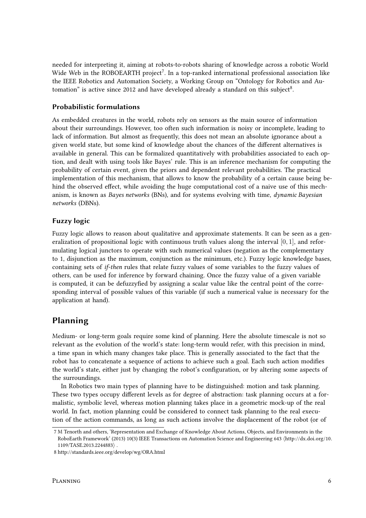needed for interpreting it, aiming at robots-to-robots sharing of knowledge across a robotic World Wide Web in the ROBOEARTH project<sup>7</sup>. In a top-ranked international professional association like the IEEE Robotics and Automation Society, a Working Group on "Ontology for Robotics and Automation" is active since 2012 and have developed already a standard on this subject<sup>8</sup>.

#### Probabilistic formulations

As embedded creatures in the world, robots rely on sensors as the main source of information about their surroundings. However, too often such information is noisy or incomplete, leading to lack of information. But almost as frequently, this does not mean an absolute ignorance about a given world state, but some kind of knowledge about the chances of the different alternatives is available in general. This can be formalized quantitatively with probabilities associated to each option, and dealt with using tools like Bayes' rule. This is an inference mechanism for computing the probability of certain event, given the priors and dependent relevant probabilities. The practical implementation of this mechanism, that allows to know the probability of a certain cause being behind the observed effect, while avoiding the huge computational cost of a naive use of this mechanism, is known as Bayes networks (BNs), and for systems evolving with time, *dynamic Bayesian* networks (DBNs).

#### Fuzzy logic

Fuzzy logic allows to reason about qualitative and approximate statements. It can be seen as a generalization of propositional logic with continuous truth values along the interval  $[0, 1]$ , and reformulating logical junctors to operate with such numerical values (negation as the complementary to 1, disjunction as the maximum, conjunction as the minimum, etc.). Fuzzy logic knowledge bases, containing sets of if-then rules that relate fuzzy values of some variables to the fuzzy values of others, can be used for inference by forward chaining. Once the fuzzy value of a given variable is computed, it can be defuzzyfied by assigning a scalar value like the central point of the corresponding interval of possible values of this variable (if such a numerical value is necessary for the application at hand).

## Planning

Medium- or long-term goals require some kind of planning. Here the absolute timescale is not so relevant as the evolution of the world's state: long-term would refer, with this precision in mind, a time span in which many changes take place. This is generally associated to the fact that the robot has to concatenate a sequence of actions to achieve such a goal. Each such action modifies the world's state, either just by changing the robot's configuration, or by altering some aspects of the surroundings.

In Robotics two main types of planning have to be distinguished: motion and task planning. These two types occupy different levels as for degree of abstraction: task planning occurs at a formalistic, symbolic level, whereas motion planning takes place in a geometric mock-up of the real world. In fact, motion planning could be considered to connect task planning to the real execution of the action commands, as long as such actions involve the displacement of the robot (or of

<sup>7</sup> M Tenorth and others, 'Representation and Exchange of Knowledge About Actions, Objects, and Environments in the RoboEarth Framework' (2013) 10(3) IEEE Transactions on Automation Science and Engineering 643 hhttp://dx.doi.org/10. 1109/TASE.2013.2244883).

<sup>8</sup> http://standards.ieee.org/develop/wg/ORA.html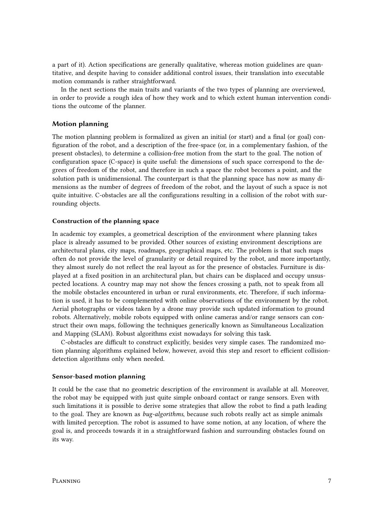a part of it). Action specifications are generally qualitative, whereas motion guidelines are quantitative, and despite having to consider additional control issues, their translation into executable motion commands is rather straightforward.

In the next sections the main traits and variants of the two types of planning are overviewed, in order to provide a rough idea of how they work and to which extent human intervention conditions the outcome of the planner.

#### Motion planning

The motion planning problem is formalized as given an initial (or start) and a final (or goal) configuration of the robot, and a description of the free-space (or, in a complementary fashion, of the present obstacles), to determine a collision-free motion from the start to the goal. The notion of configuration space (C-space) is quite useful: the dimensions of such space correspond to the degrees of freedom of the robot, and therefore in such a space the robot becomes a point, and the solution path is unidimensional. The counterpart is that the planning space has now as many dimensions as the number of degrees of freedom of the robot, and the layout of such a space is not quite intuitive. C-obstacles are all the configurations resulting in a collision of the robot with surrounding objects.

#### Construction of the planning space

In academic toy examples, a geometrical description of the environment where planning takes place is already assumed to be provided. Other sources of existing environment descriptions are architectural plans, city maps, roadmaps, geographical maps, etc. The problem is that such maps often do not provide the level of granularity or detail required by the robot, and more importantly, they almost surely do not reflect the real layout as for the presence of obstacles. Furniture is displayed at a fixed position in an architectural plan, but chairs can be displaced and occupy unsuspected locations. A country map may not show the fences crossing a path, not to speak from all the mobile obstacles encountered in urban or rural environments, etc. Therefore, if such information is used, it has to be complemented with online observations of the environment by the robot. Aerial photographs or videos taken by a drone may provide such updated information to ground robots. Alternatively, mobile robots equipped with online cameras and/or range sensors can construct their own maps, following the techniques generically known as Simultaneous Localization and Mapping (SLAM). Robust algorithms exist nowadays for solving this task.

C-obstacles are difficult to construct explicitly, besides very simple cases. The randomized motion planning algorithms explained below, however, avoid this step and resort to efficient collisiondetection algorithms only when needed.

#### Sensor-based motion planning

It could be the case that no geometric description of the environment is available at all. Moreover, the robot may be equipped with just quite simple onboard contact or range sensors. Even with such limitations it is possible to derive some strategies that allow the robot to find a path leading to the goal. They are known as bug-algorithms, because such robots really act as simple animals with limited perception. The robot is assumed to have some notion, at any location, of where the goal is, and proceeds towards it in a straightforward fashion and surrounding obstacles found on its way.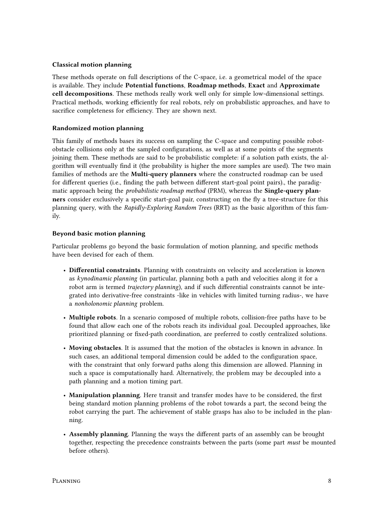#### Classical motion planning

These methods operate on full descriptions of the C-space, i.e. a geometrical model of the space is available. They include Potential functions, Roadmap methods, Exact and Approximate cell decompositions. These methods really work well only for simple low-dimensional settings. Practical methods, working efficiently for real robots, rely on probabilistic approaches, and have to sacrifice completeness for efficiency. They are shown next.

#### Randomized motion planning

This family of methods bases its success on sampling the C-space and computing possible robotobstacle collisions only at the sampled configurations, as well as at some points of the segments joining them. These methods are said to be probabilistic complete: if a solution path exists, the algorithm will eventually find it (the probability is higher the more samples are used). The two main families of methods are the **Multi-query planners** where the constructed roadmap can be used for different queries (i.e., finding the path between different start-goal point pairs)., the paradigmatic approach being the *probabilistic roadmap method* (PRM), whereas the **Single-query plan**ners consider exclusively a specific start-goal pair, constructing on the fly a tree-structure for this planning query, with the Rapidly-Exploring Random Trees (RRT) as the basic algorithm of this family.

#### Beyond basic motion planning

Particular problems go beyond the basic formulation of motion planning, and specific methods have been devised for each of them.

- Differential constraints. Planning with constraints on velocity and acceleration is known as kynodinamic planning (in particular, planning both a path and velocities along it for a robot arm is termed trajectory planning), and if such differential constraints cannot be integrated into derivative-free constraints -like in vehicles with limited turning radius-, we have a nonholonomic planning problem.
- Multiple robots. In a scenario composed of multiple robots, collision-free paths have to be found that allow each one of the robots reach its individual goal. Decoupled approaches, like prioritized planning or fixed-path coordination, are preferred to costly centralized solutions.
- Moving obstacles. It is assumed that the motion of the obstacles is known in advance. In such cases, an additional temporal dimension could be added to the configuration space, with the constraint that only forward paths along this dimension are allowed. Planning in such a space is computationally hard. Alternatively, the problem may be decoupled into a path planning and a motion timing part.
- Manipulation planning. Here transit and transfer modes have to be considered, the first being standard motion planning problems of the robot towards a part, the second being the robot carrying the part. The achievement of stable grasps has also to be included in the planning.
- Assembly planning. Planning the ways the different parts of an assembly can be brought together, respecting the precedence constraints between the parts (some part must be mounted before others).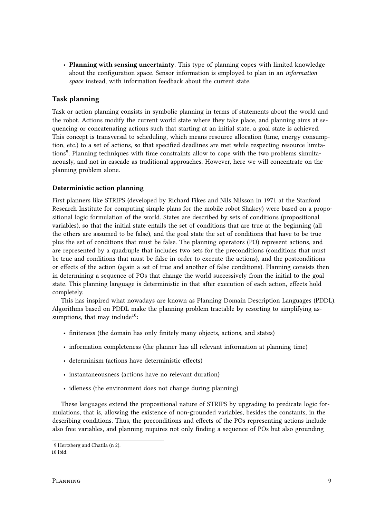• Planning with sensing uncertainty. This type of planning copes with limited knowledge about the configuration space. Sensor information is employed to plan in an *information* space instead, with information feedback about the current state.

### Task planning

Task or action planning consists in symbolic planning in terms of statements about the world and the robot. Actions modify the current world state where they take place, and planning aims at sequencing or concatenating actions such that starting at an initial state, a goal state is achieved. This concept is transversal to scheduling, which means resource allocation (time, energy consumption, etc.) to a set of actions, so that specified deadlines are met while respecting resource limitations<sup>9</sup>. Planning techniques with time constraints allow to cope with the two problems simultaneously, and not in cascade as traditional approaches. However, here we will concentrate on the planning problem alone.

#### Deterministic action planning

First planners like STRIPS (developed by Richard Fikes and Nils Nilsson in 1971 at the Stanford Research Institute for computing simple plans for the mobile robot Shakey) were based on a propositional logic formulation of the world. States are described by sets of conditions (propositional variables), so that the initial state entails the set of conditions that are true at the beginning (all the others are assumed to be false), and the goal state the set of conditions that have to be true plus the set of conditions that must be false. The planning operators (PO) represent actions, and are represented by a quadruple that includes two sets for the preconditions (conditions that must be true and conditions that must be false in order to execute the actions), and the postconditions or effects of the action (again a set of true and another of false conditions). Planning consists then in determining a sequence of POs that change the world successively from the initial to the goal state. This planning language is deterministic in that after execution of each action, effects hold completely.

This has inspired what nowadays are known as Planning Domain Description Languages (PDDL). Algorithms based on PDDL make the planning problem tractable by resorting to simplifying assumptions, that may include<sup>10</sup>:

- finiteness (the domain has only finitely many objects, actions, and states)
- information completeness (the planner has all relevant information at planning time)
- determinism (actions have deterministic effects)
- instantaneousness (actions have no relevant duration)
- idleness (the environment does not change during planning)

These languages extend the propositional nature of STRIPS by upgrading to predicate logic formulations, that is, allowing the existence of non-grounded variables, besides the constants, in the describing conditions. Thus, the preconditions and effects of the POs representing actions include also free variables, and planning requires not only finding a sequence of POs but also grounding

<sup>9</sup> Hertzberg and Chatila (n 2).

<sup>10</sup> ibid.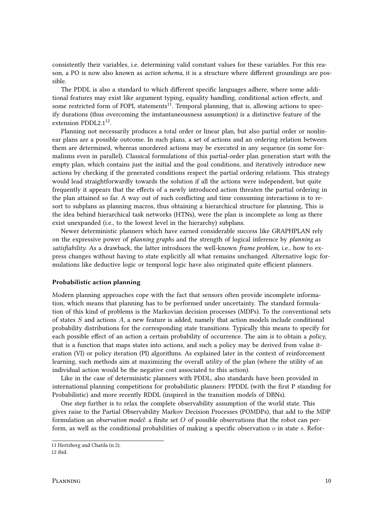consistently their variables, i.e. determining valid constant values for these variables. For this reason, a PO is now also known as *action schema*, it is a structure where different groundings are possible.

The PDDL is also a standard to which different specific languages adhere, where some additional features may exist like argument typing, equality handling, conditional action effects, and some restricted form of FOPL statements<sup>11</sup>. Temporal planning, that is, allowing actions to specify durations (thus overcoming the instantaneousness assumption) is a distinctive feature of the extension PDDL2.1<sup>12</sup>.

Planning not necessarily produces a total order or linear plan, but also partial order or nonlinear plans are a possible outcome. In such plans, a set of actions and an ordering relation between them are determined, whereas unordered actions may be executed in any sequence (in some formalisms even in parallel). Classical formulations of this partial-order plan generation start with the empty plan, which contains just the initial and the goal conditions, and iteratively introduce new actions by checking if the generated conditions respect the partial ordering relations. This strategy would lead straightforwardly towards the solution if all the actions were independent, but quite frequently it appears that the effects of a newly introduced action threaten the partial ordering in the plan attained so far. A way out of such conflicting and time consuming interactions is to resort to subplans as planning macros, thus obtaining a hierarchical structure for planning, This is the idea behind hierarchical task networks (HTNs), were the plan is incomplete as long as there exist unexpanded (i.e., to the lowest level in the hierarchy) subplans.

Newer deterministic planners which have earned considerable success like GRAPHPLAN rely on the expressive power of *planning graphs* and the strength of logical inference by *planning as* satisfiability. As a drawback, the latter introduces the well-known frame problem, i.e., how to express changes without having to state explicitly all what remains unchanged. Alternative logic formulations like deductive logic or temporal logic have also originated quite efficient planners.

#### Probabilistic action planning

Modern planning approaches cope with the fact that sensors often provide incomplete information, which means that planning has to be performed under uncertainty. The standard formulation of this kind of problems is the Markovian decision processes (MDPs). To the conventional sets of states  $S$  and actions  $A$ , a new feature is added, namely that action models include conditional probability distributions for the corresponding state transitions. Typically this means to specify for each possible effect of an action a certain probability of occurrence. The aim is to obtain a *policy*, that is a function that maps states into actions, and such a policy may be derived from value iteration (VI) or policy iteration (PI) algorithms. As explained later in the context of reinforcement learning, such methods aim at maximizing the overall utility of the plan (where the utility of an individual action would be the negative cost associated to this action).

Like in the case of deterministic planners with PDDL, also standards have been provided in international planning competitions for probabilistic planners: PPDDL (with the first P standing for Probabilistic) and more recently RDDL (inspired in the transition models of DBNs).

One step further is to relax the complete observability assumption of the world state. This gives raise to the Partial Observability Markov Decision Processes (POMDPs), that add to the MDP formulation an *observation model*: a finite set  $O$  of possible observations that the robot can perform, as well as the conditional probabilities of making a specific observation  $o$  in state s. Refor-

<sup>11</sup> Hertzberg and Chatila (n 2).

<sup>12</sup> ibid.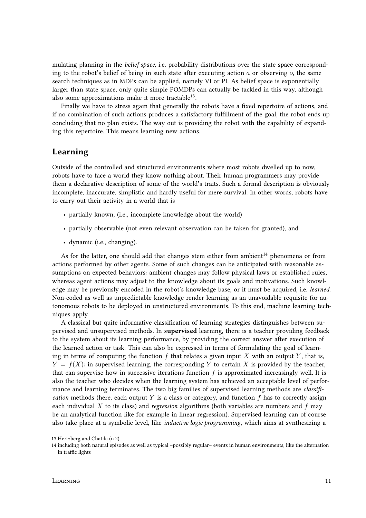mulating planning in the *belief space*, i.e. probability distributions over the state space corresponding to the robot's belief of being in such state after executing action  $a$  or observing  $o$ , the same search techniques as in MDPs can be applied, namely VI or PI. As belief space is exponentially larger than state space, only quite simple POMDPs can actually be tackled in this way, although also some approximations make it more tractable $^{13}$ .

Finally we have to stress again that generally the robots have a fixed repertoire of actions, and if no combination of such actions produces a satisfactory fulllment of the goal, the robot ends up concluding that no plan exists. The way out is providing the robot with the capability of expanding this repertoire. This means learning new actions.

## Learning

Outside of the controlled and structured environments where most robots dwelled up to now, robots have to face a world they know nothing about. Their human programmers may provide them a declarative description of some of the world's traits. Such a formal description is obviously incomplete, inaccurate, simplistic and hardly useful for mere survival. In other words, robots have to carry out their activity in a world that is

- partially known, (i.e., incomplete knowledge about the world)
- partially observable (not even relevant observation can be taken for granted), and
- dynamic (i.e., changing).

As for the latter, one should add that changes stem either from ambient<sup>14</sup> phenomena or from actions performed by other agents. Some of such changes can be anticipated with reasonable assumptions on expected behaviors: ambient changes may follow physical laws or established rules, whereas agent actions may adjust to the knowledge about its goals and motivations. Such knowledge may be previously encoded in the robot's knowledge base, or it must be acquired, i.e. learned. Non-coded as well as unpredictable knowledge render learning as an unavoidable requisite for autonomous robots to be deployed in unstructured environments. To this end, machine learning techniques apply.

A classical but quite informative classification of learning strategies distinguishes between supervised and unsupervised methods. In supervised learning, there is a teacher providing feedback to the system about its learning performance, by providing the correct answer after execution of the learned action or task. This can also be expressed in terms of formulating the goal of learning in terms of computing the function f that relates a given input X with an output Y, that is,  $Y = f(X)$ : in supervised learning, the corresponding Y to certain X is provided by the teacher, that can supervise how in successive iterations function  $f$  is approximated increasingly well. It is also the teacher who decides when the learning system has achieved an acceptable level of performance and learning terminates. The two big families of supervised learning methods are classification methods (here, each output Y is a class or category, and function  $f$  has to correctly assign each individual X to its class) and regression algorithms (both variables are numbers and  $f$  may be an analytical function like for example in linear regression). Supervised learning can of course also take place at a symbolic level, like *inductive logic programming*, which aims at synthesizing a

<sup>13</sup> Hertzberg and Chatila (n 2).

<sup>14</sup> including both natural episodes as well as typical –possibly regular– events in human environments, like the alternation in traffic lights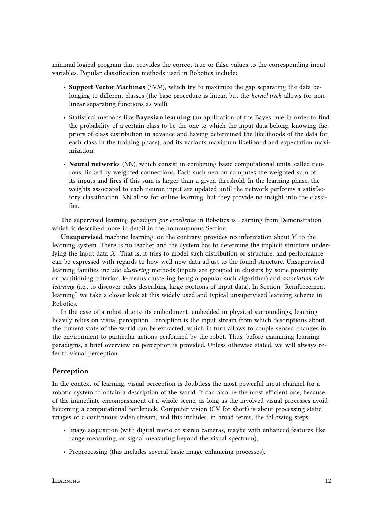minimal logical program that provides the correct true or false values to the corresponding input variables. Popular classification methods used in Robotics include:

- Support Vector Machines (SVM), which try to maximize the gap separating the data belonging to different classes (the base procedure is linear, but the kernel trick allows for nonlinear separating functions as well).
- Statistical methods like Bayesian learning (an application of the Bayes rule in order to find the probability of a certain class to be the one to which the input data belong, knowing the priors of class distribution in advance and having determined the likelihoods of the data for each class in the training phase), and its variants maximum likelihood and expectation maximization.
- Neural networks (NN), which consist in combining basic computational units, called neurons, linked by weighted connections. Each such neuron computes the weighted sum of its inputs and fires if this sum is larger than a given threshold. In the learning phase, the weights associated to each neuron input are updated until the network performs a satisfactory classification. NN allow for online learning, but they provide no insight into the classifier.

The supervised learning paradigm *par excellence* in Robotics is Learning from Demonstration, which is described more in detail in the homonymous Section.

Unsupervised machine learning, on the contrary, provides no information about  $Y$  to the learning system. There is no teacher and the system has to determine the implicit structure underlying the input data X. That is, it tries to model such distribution or structure, and performance can be expressed with regards to how well new data adjust to the found structure. Unsupervised learning families include clustering methods (inputs are grouped in clusters by some proximity or partitioning criterion, k-means clustering being a popular such algorithm) and association rule learning (i.e., to discover rules describing large portions of input data). In Section "Reinforcement learning" we take a closer look at this widely used and typical unsupervised learning scheme in Robotics.

In the case of a robot, due to its embodiment, embedded in physical surroundings, learning heavily relies on visual perception. Perception is the input stream from which descriptions about the current state of the world can be extracted, which in turn allows to couple sensed changes in the environment to particular actions performed by the robot. Thus, before examining learning paradigms, a brief overview on perception is provided. Unless othewise stated, we will always refer to visual perception.

#### Perception

In the context of learning, visual perception is doubtless the most powerful input channel for a robotic system to obtain a description of the world. It can also be the most efficient one, because of the immediate encompassment of a whole scene, as long as the involved visual processes avoid becoming a computational bottleneck. Computer vision (CV for short) is about processing static images or a continuous video stream, and this includes, in broad terms, the following steps:

- Image acquisition (with digital mono or stereo cameras, maybe with enhanced features like range measuring, or signal measuring beyond the visual spectrum),
- Preprocessing (this includes several basic image enhancing processes),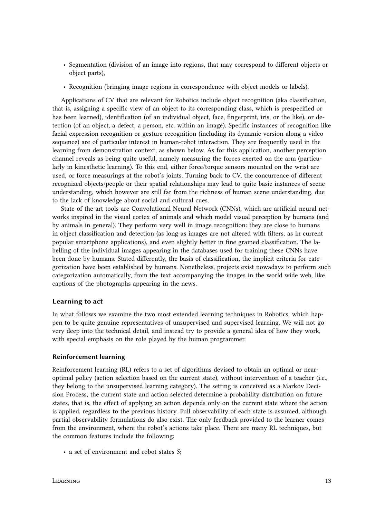- Segmentation (division of an image into regions, that may correspond to different objects or object parts),
- Recognition (bringing image regions in correspondence with object models or labels).

Applications of CV that are relevant for Robotics include object recognition (aka classification, that is, assigning a specific view of an object to its corresponding class, which is prespecified or has been learned), identification (of an individual object, face, fingerprint, iris, or the like), or detection (of an object, a defect, a person, etc. within an image). Specific instances of recognition like facial expression recognition or gesture recognition (including its dynamic version along a video sequence) are of particular interest in human-robot interaction. They are frequently used in the learning from demonstration context, as shown below. As for this application, another perception channel reveals as being quite useful, namely measuring the forces exerted on the arm (particularly in kinesthetic learning). To this end, either force/torque sensors mounted on the wrist are used, or force measurings at the robot's joints. Turning back to CV, the concurrence of different recognized objects/people or their spatial relationships may lead to quite basic instances of scene understanding, which however are still far from the richness of human scene understanding, due to the lack of knowledge about social and cultural cues.

State of the art tools are Convolutional Neural Network (CNNs), which are artificial neural networks inspired in the visual cortex of animals and which model visual perception by humans (and by animals in general). They perform very well in image recognition: they are close to humans in object classification and detection (as long as images are not altered with filters, as in current popular smartphone applications), and even slightly better in fine grained classification. The labelling of the individual images appearing in the databases used for training these CNNs have been done by humans. Stated differently, the basis of classification, the implicit criteria for categorization have been established by humans. Nonetheless, projects exist nowadays to perform such categorization automatically, from the text accompanying the images in the world wide web, like captions of the photographs appearing in the news.

#### Learning to act

In what follows we examine the two most extended learning techniques in Robotics, which happen to be quite genuine representatives of unsupervised and supervised learning. We will not go very deep into the technical detail, and instead try to provide a general idea of how they work, with special emphasis on the role played by the human programmer.

#### Reinforcement learning

Reinforcement learning (RL) refers to a set of algorithms devised to obtain an optimal or nearoptimal policy (action selection based on the current state), without intervention of a teacher (i.e., they belong to the unsupervised learning category). The setting is conceived as a Markov Decision Process, the current state and action selected determine a probability distribution on future states, that is, the effect of applying an action depends only on the current state where the action is applied, regardless to the previous history. Full observability of each state is assumed, although partial observability formulations do also exist. The only feedback provided to the learner comes from the environment, where the robot's actions take place. There are many RL techniques, but the common features include the following:

• a set of environment and robot states S;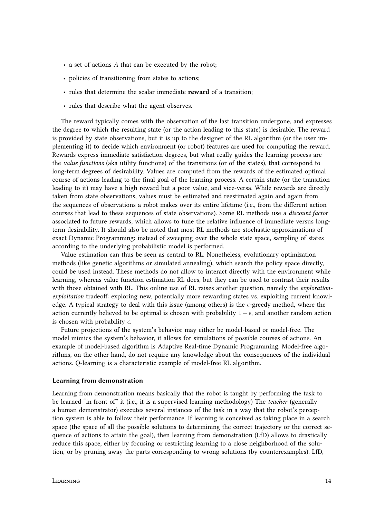- a set of actions A that can be executed by the robot;
- policies of transitioning from states to actions;
- rules that determine the scalar immediate reward of a transition;
- rules that describe what the agent observes.

The reward typically comes with the observation of the last transition undergone, and expresses the degree to which the resulting state (or the action leading to this state) is desirable. The reward is provided by state observations, but it is up to the designer of the RL algorithm (or the user implementing it) to decide which environment (or robot) features are used for computing the reward. Rewards express immediate satisfaction degrees, but what really guides the learning process are the value functions (aka utility functions) of the transitions (or of the states), that correspond to long-term degrees of desirability. Values are computed from the rewards of the estimated optimal course of actions leading to the final goal of the learning process. A certain state (or the transition leading to it) may have a high reward but a poor value, and vice-versa. While rewards are directly taken from state observations, values must be estimated and reestimated again and again from the sequences of observations a robot makes over its entire lifetime (i.e., from the different action courses that lead to these sequences of state observations). Some RL methods use a discount factor associated to future rewards, which allows to tune the relative influence of immediate versus longterm desirability. It should also be noted that most RL methods are stochastic approximations of exact Dynamic Programming: instead of sweeping over the whole state space, sampling of states according to the underlying probabilistic model is performed.

Value estimation can thus be seen as central to RL. Nonetheless, evolutionary optimization methods (like genetic algorithms or simulated annealing), which search the policy space directly, could be used instead. These methods do not allow to interact directly with the environment while learning, whereas value function estimation RL does, but they can be used to contrast their results with those obtained with RL. This online use of RL raises another question, namely the *exploration*exploitation tradeoff: exploring new, potentially more rewarding states vs. exploiting current knowledge. A typical strategy to deal with this issue (among others) is the  $\epsilon$ -greedy method, where the action currently believed to be optimal is chosen with probability  $1-\epsilon$ , and another random action is chosen with probability  $\epsilon$ .

Future projections of the system's behavior may either be model-based or model-free. The model mimics the system's behavior, it allows for simulations of possible courses of actions. An example of model-based algorithm is Adaptive Real-time Dynamic Programming. Model-free algorithms, on the other hand, do not require any knowledge about the consequences of the individual actions. Q-learning is a characteristic example of model-free RL algorithm.

#### Learning from demonstration

Learning from demonstration means basically that the robot is taught by performing the task to be learned "in front of" it (i.e., it is a supervised learning methodology) The teacher (generally a human demonstrator) executes several instances of the task in a way that the robot's perception system is able to follow their performance. If learning is conceived as taking place in a search space (the space of all the possible solutions to determining the correct trajectory or the correct sequence of actions to attain the goal), then learning from demonstration (LfD) allows to drastically reduce this space, either by focusing or restricting learning to a close neighborhood of the solution, or by pruning away the parts corresponding to wrong solutions (by counterexamples). LfD,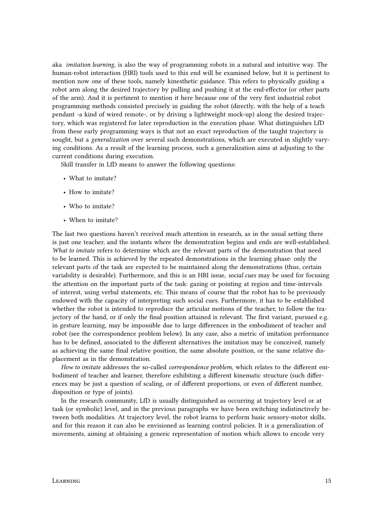aka imitation learning, is also the way of programming robots in a natural and intuitive way. The human-robot interaction (HRI) tools used to this end will be examined below, but it is pertinent to mention now one of these tools, namely kinesthetic guidance. This refers to physically guiding a robot arm along the desired trajectory by pulling and pushing it at the end-effector (or other parts of the arm). And it is pertinent to mention it here because one of the very first industrial robot programming methods consisted precisely in guiding the robot (directly, with the help of a teach pendant -a kind of wired remote-, or by driving a lightweight mock-up) along the desired trajectory, which was registered for later reproduction in the execution phase. What distinguishes LfD from these early programming ways is that not an exact reproduction of the taught trajectory is sought, but a *generalization* over several such demonstrations, which are executed in slightly varying conditions. As a result of the learning process, such a generalization aims at adjusting to the current conditions during execution.

Skill transfer in LfD means to answer the following questions:

- What to imitate?
- How to imitate?
- Who to imitate?
- When to imitate?

The last two questions haven't received much attention in research, as in the usual setting there is just one teacher, and the instants where the demonstration begins and ends are well-established. What to imitate refers to determine which are the relevant parts of the demonstration that need to be learned. This is achieved by the repeated demonstrations in the learning phase: only the relevant parts of the task are expected to be maintained along the demonstrations (thus, certain variability is desirable). Furthermore, and this is an HRI issue, social cues may be used for focusing the attention on the important parts of the task: gazing or pointing at region and time-intervals of interest, using verbal statements, etc. This means of course that the robot has to be previously endowed with the capacity of interpreting such social cues. Furthermore, it has to be established whether the robot is intended to reproduce the articular motions of the teacher, to follow the trajectory of the hand, or if only the final position attained is relevant. The first variant, pursued e.g. in gesture learning, may be impossible due to large differences in the embodiment of teacher and robot (see the correspondence problem below). In any case, also a metric of imitation performance has to be defined, associated to the different alternatives the imitation may be conceived, namely as achieving the same final relative position, the same absolute position, or the same relative displacement as in the demonstration.

How to imitate addresses the so-called *correspondence problem*, which relates to the different embodiment of teacher and learner, therefore exhibiting a different kinematic structure (such differences may be just a question of scaling, or of different proportions, or even of different number, disposition or type of joints).

In the research community, LfD is usually distinguished as occurring at trajectory level or at task (or symbolic) level, and in the previous paragraphs we have been switching indistinctively between both modalities. At trajectory level, the robot learns to perform basic sensory-motor skills, and for this reason it can also be envisioned as learning control policies. It is a generalization of movements, aiming at obtaining a generic representation of motion which allows to encode very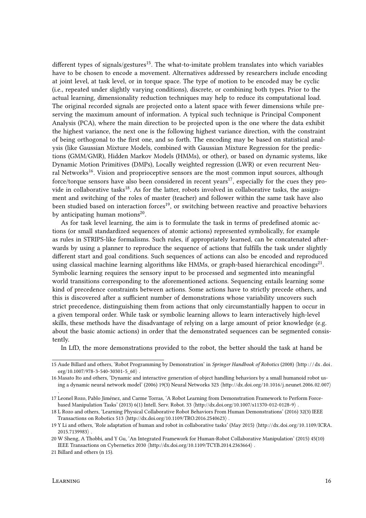different types of signals/gestures<sup>15</sup>. The what-to-imitate problem translates into which variables have to be chosen to encode a movement. Alternatives addressed by researchers include encoding at joint level, at task level, or in torque space. The type of motion to be encoded may be cyclic (i.e., repeated under slightly varying conditions), discrete, or combining both types. Prior to the actual learning, dimensionality reduction techniques may help to reduce its computational load. The original recorded signals are projected onto a latent space with fewer dimensions while preserving the maximum amount of information. A typical such technique is Principal Component Analysis (PCA), where the main direction to be projected upon is the one where the data exhibit the highest variance, the next one is the following highest variance direction, with the constraint of being orthogonal to the first one, and so forth. The encoding may be based on statistical analysis (like Gaussian Mixture Models, combined with Gaussian Mixture Regression for the predictions (GMM/GMR), Hidden Markov Models (HMMs), or other), or based on dynamic systems, like Dynamic Motion Primitives (DMPs), Locally weighted regression (LWR) or even recurrent Neural Networks<sup>16</sup>. Vision and proprioceptive sensors are the most common input sources, although force/torque sensors have also been considered in recent years<sup>17</sup>, especially for the cues they provide in collaborative tasks<sup>18</sup>. As for the latter, robots involved in collaborative tasks, the assignment and switching of the roles of master (teacher) and follower within the same task have also been studied based on interaction forces<sup>19</sup>, or switching between reactive and proactive behaviors by anticipating human motions<sup>20</sup>.

As for task level learning, the aim is to formulate the task in terms of predefined atomic actions (or small standardized sequences of atomic actions) represented symbolically, for example as rules in STRIPS-like formalisms. Such rules, if appropriately learned, can be concatenated afterwards by using a planner to reproduce the sequence of actions that fulfills the task under slightly different start and goal conditions. Such sequences of actions can also be encoded and reproduced using classical machine learning algorithms like HMMs, or graph-based hierarchical encodings<sup>21</sup>. Symbolic learning requires the sensory input to be processed and segmented into meaningful world transitions corresponding to the aforementioned actions. Sequencing entails learning some kind of precedence constraints between actions. Some actions have to strictly precede others, and this is discovered after a sufficient number of demonstrations whose variability uncovers such strict precedence, distinguishing them from actions that only circumstantially happen to occur in a given temporal order. While task or symbolic learning allows to learn interactively high-level skills, these methods have the disadvantage of relying on a large amount of prior knowledge (e.g. about the basic atomic actions) in order that the demonstrated sequences can be segmented consistently.

In LfD, the more demonstrations provided to the robot, the better should the task at hand be

.

<sup>15</sup> Aude Billard and others, 'Robot Programming by Demonstration' in Springer Handbook of Robotics (2008) (http://dx.doi. org/10.1007/978-3-540-30301-5 $60$ .

<sup>16</sup> Masato Ito and others, 'Dynamic and interactive generation of object handling behaviors by a small humanoid robot using a dynamic neural network model' (2006) 19(3) Neural Networks 323 (http://dx.doi.org/10.1016/j.neunet.2006.02.007)

<sup>17</sup> Leonel Rozo, Pablo Jiménez, and Carme Torras, 'A Robot Learning from Demonstration Framework to Perform Forcebased Manipulation Tasks' (2013) 6(1) Intell. Serv. Robot. 33  $\langle$ http://dx.doi.org/10.1007/s11370-012-0128-9 $\rangle$ .

<sup>18</sup> L Rozo and others, 'Learning Physical Collaborative Robot Behaviors From Human Demonstrations' (2016) 32(3) IEEE Transactions on Robotics 513  $\langle$ http://dx.doi.org/10.1109/TRO.2016.2540623 $\rangle$ .

<sup>19</sup> Y Li and others, 'Role adaptation of human and robot in collaborative tasks' (May 2015) hhttp://dx.doi.org/10.1109/ICRA.  $2015.7139983$ .

<sup>20</sup> W Sheng, A Thobbi, and Y Gu, 'An Integrated Framework for Human-Robot Collaborative Manipulation' (2015) 45(10) IEEE Transactions on Cybernetics 2030 (http://dx.doi.org/10.1109/TCYB.2014.2363664).

<sup>21</sup> Billard and others (n 15).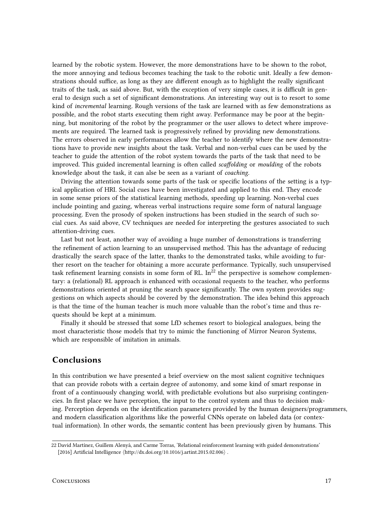learned by the robotic system. However, the more demonstrations have to be shown to the robot, the more annoying and tedious becomes teaching the task to the robotic unit. Ideally a few demonstrations should suffice, as long as they are different enough as to highlight the really significant traits of the task, as said above. But, with the exception of very simple cases, it is difficult in general to design such a set of signicant demonstrations. An interesting way out is to resort to some kind of incremental learning. Rough versions of the task are learned with as few demonstrations as possible, and the robot starts executing them right away. Performance may be poor at the beginning, but monitoring of the robot by the programmer or the user allows to detect where improvements are required. The learned task is progressively refined by providing new demonstrations. The errors observed in early performances allow the teacher to identify where the new demonstrations have to provide new insights about the task. Verbal and non-verbal cues can be used by the teacher to guide the attention of the robot system towards the parts of the task that need to be improved. This guided incremental learning is often called scaffolding or moulding of the robots knowledge about the task, it can alse be seen as a variant of coaching.

Driving the attention towards some parts of the task or specific locations of the setting is a typical application of HRI. Social cues have been investigated and applied to this end. They encode in some sense priors of the statistical learning methods, speeding up learning. Non-verbal cues include pointing and gazing, whereas verbal instructions require some form of natural language processing. Even the prosody of spoken instructions has been studied in the search of such social cues. As said above, CV techniques are needed for interpreting the gestures associated to such attention-driving cues.

Last but not least, another way of avoiding a huge number of demonstrations is transferring the refinement of action learning to an unsupervised method. This has the advantage of reducing drastically the search space of the latter, thanks to the demonstrated tasks, while avoiding to further resort on the teacher for obtaining a more accurate performance. Typically, such unsupervised task refinement learning consists in some form of RL. In<sup>22</sup> the perspective is somehow complementary: a (relational) RL approach is enhanced with occasional requests to the teacher, who performs demonstrations oriented at pruning the search space significantly. The own system provides suggestions on which aspects should be covered by the demonstration. The idea behind this approach is that the time of the human teacher is much more valuable than the robot's time and thus requests should be kept at a minimum.

Finally it should be stressed that some LfD schemes resort to biological analogues, being the most characteristic those models that try to mimic the functioning of Mirror Neuron Systems, which are responsible of imitation in animals.

## Conclusions

In this contribution we have presented a brief overview on the most salient cognitive techniques that can provide robots with a certain degree of autonomy, and some kind of smart response in front of a continuously changing world, with predictable evolutions but also surprising contingencies. In first place we have perception, the input to the control system and thus to decision making. Perception depends on the identification parameters provided by the human designers/programmers, and modern classification algorithms like the powerful CNNs operate on labeled data (or contextual information). In other words, the semantic content has been previously given by humans. This

<sup>22</sup> David Martínez, Guillem Alenyà, and Carme Torras, 'Relational reinforcement learning with guided demonstrations' [2016] Artificial Intelligence  $\langle \frac{http://dx.doi.org/10.1016/j.artint.2015.02.006}{$ .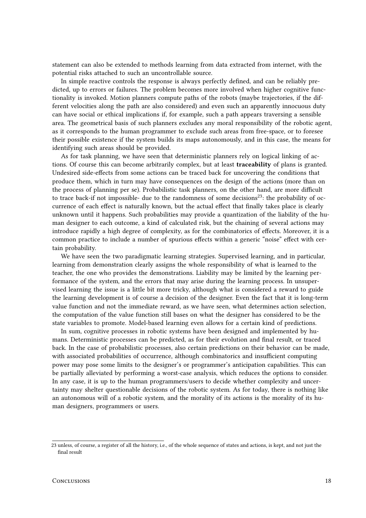statement can also be extended to methods learning from data extracted from internet, with the potential risks attached to such an uncontrollable source.

In simple reactive controls the response is always perfectly defined, and can be reliably predicted, up to errors or failures. The problem becomes more involved when higher cognitive functionality is invoked. Motion planners compute paths of the robots (maybe trajectories, if the different velocities along the path are also considered) and even such an apparently innocuous duty can have social or ethical implications if, for example, such a path appears traversing a sensible area. The geometrical basis of such planners excludes any moral responsibility of the robotic agent, as it corresponds to the human programmer to exclude such areas from free-space, or to foresee their possible existence if the system builds its maps autonomously, and in this case, the means for identifying such areas should be provided.

As for task planning, we have seen that deterministic planners rely on logical linking of actions. Of course this can become arbitrarily complex, but at least traceability of plans is granted. Undesired side-effects from some actions can be traced back for uncovering the conditions that produce them, which in turn may have consequences on the design of the actions (more than on the process of planning per se). Probabilistic task planners, on the other hand, are more difficult to trace back-if not impossible- due to the randomness of some decisions<sup>23</sup>: the probability of occurrence of each effect is naturally known, but the actual effect that finally takes place is clearly unknown until it happens. Such probabilities may provide a quantization of the liability of the human designer to each outcome, a kind of calculated risk, but the chaining of several actions may introduce rapidly a high degree of complexity, as for the combinatorics of effects. Moreover, it is a common practice to include a number of spurious effects within a generic "noise" effect with certain probability.

We have seen the two paradigmatic learning strategies. Supervised learning, and in particular, learning from demonstration clearly assigns the whole responsibility of what is learned to the teacher, the one who provides the demonstrations. Liability may be limited by the learning performance of the system, and the errors that may arise during the learning process. In unsupervised learning the issue is a little bit more tricky, although what is considered a reward to guide the learning development is of course a decision of the designer. Even the fact that it is long-term value function and not the immediate reward, as we have seen, what determines action selection, the computation of the value function still bases on what the designer has considered to be the state variables to promote. Model-based learning even allows for a certain kind of predictions.

In sum, cognitive processes in robotic systems have been designed and implemented by humans. Deterministic processes can be predicted, as for their evolution and final result, or traced back. In the case of probabilistic processes, also certain predictions on their behavior can be made, with associated probabilities of occurrence, although combinatorics and insufficient computing power may pose some limits to the designer's or programmer's anticipation capabilities. This can be partially alleviated by performing a worst-case analysis, which reduces the options to consider. In any case, it is up to the human programmers/users to decide whether complexity and uncertainty may shelter questionable decisions of the robotic system. As for today, there is nothing like an autonomous will of a robotic system, and the morality of its actions is the morality of its human designers, programmers or users.

<sup>23</sup> unless, of course, a register of all the history, i.e., of the whole sequence of states and actions, is kept, and not just the final result